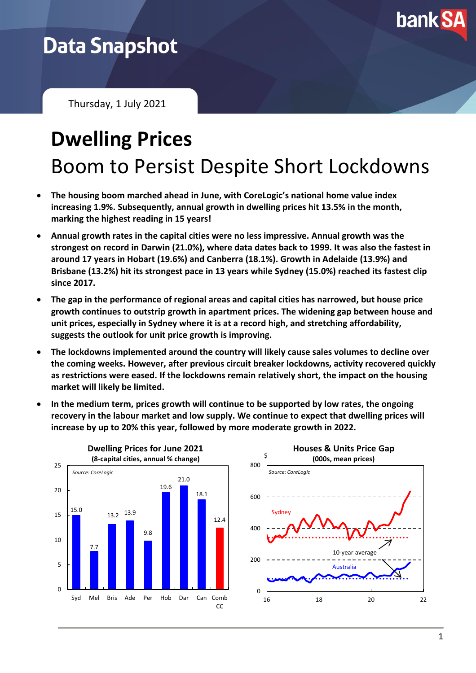

## **Data Snapshot**

Thursday, 1 July 2021

# **Dwelling Prices** Boom to Persist Despite Short Lockdowns

- **The housing boom marched ahead in June, with CoreLogic's national home value index increasing 1.9%. Subsequently, annual growth in dwelling prices hit 13.5% in the month, marking the highest reading in 15 years!**
- **Annual growth rates in the capital cities were no less impressive. Annual growth was the strongest on record in Darwin (21.0%), where data dates back to 1999. It was also the fastest in around 17 years in Hobart (19.6%) and Canberra (18.1%). Growth in Adelaide (13.9%) and Brisbane (13.2%) hit its strongest pace in 13 years while Sydney (15.0%) reached its fastest clip since 2017.**
- **The gap in the performance of regional areas and capital cities has narrowed, but house price growth continues to outstrip growth in apartment prices. The widening gap between house and unit prices, especially in Sydney where it is at a record high, and stretching affordability, suggests the outlook for unit price growth is improving.**
- **The lockdowns implemented around the country will likely cause sales volumes to decline over the coming weeks. However, after previous circuit breaker lockdowns, activity recovered quickly as restrictions were eased. If the lockdowns remain relatively short, the impact on the housing market will likely be limited.**
- **In the medium term, prices growth will continue to be supported by low rates, the ongoing recovery in the labour market and low supply. We continue to expect that dwelling prices will increase by up to 20% this year, followed by more moderate growth in 2022.**



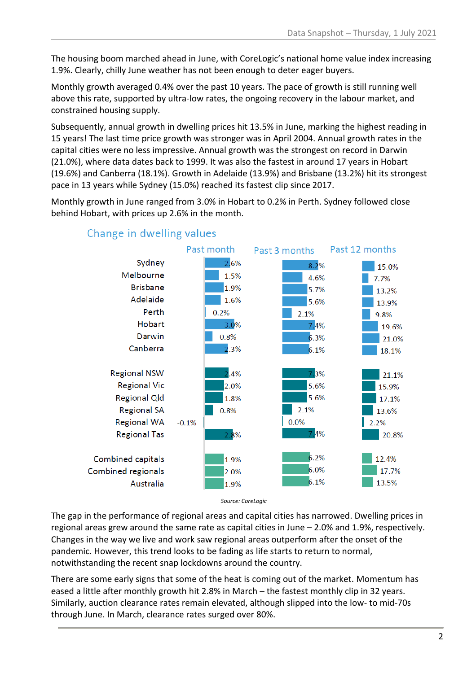The housing boom marched ahead in June, with CoreLogic's national home value index increasing 1.9%. Clearly, chilly June weather has not been enough to deter eager buyers.

Monthly growth averaged 0.4% over the past 10 years. The pace of growth is still running well above this rate, supported by ultra-low rates, the ongoing recovery in the labour market, and constrained housing supply.

Subsequently, annual growth in dwelling prices hit 13.5% in June, marking the highest reading in 15 years! The last time price growth was stronger was in April 2004. Annual growth rates in the capital cities were no less impressive. Annual growth was the strongest on record in Darwin (21.0%), where data dates back to 1999. It was also the fastest in around 17 years in Hobart (19.6%) and Canberra (18.1%). Growth in Adelaide (13.9%) and Brisbane (13.2%) hit its strongest pace in 13 years while Sydney (15.0%) reached its fastest clip since 2017.

Monthly growth in June ranged from 3.0% in Hobart to 0.2% in Perth. Sydney followed close behind Hobart, with prices up 2.6% in the month.



#### Change in dwelling values

*Source: CoreLogic*

The gap in the performance of regional areas and capital cities has narrowed. Dwelling prices in regional areas grew around the same rate as capital cities in June – 2.0% and 1.9%, respectively. Changes in the way we live and work saw regional areas outperform after the onset of the pandemic. However, this trend looks to be fading as life starts to return to normal, notwithstanding the recent snap lockdowns around the country.

There are some early signs that some of the heat is coming out of the market. Momentum has eased a little after monthly growth hit 2.8% in March – the fastest monthly clip in 32 years. Similarly, auction clearance rates remain elevated, although slipped into the low- to mid-70s through June. In March, clearance rates surged over 80%.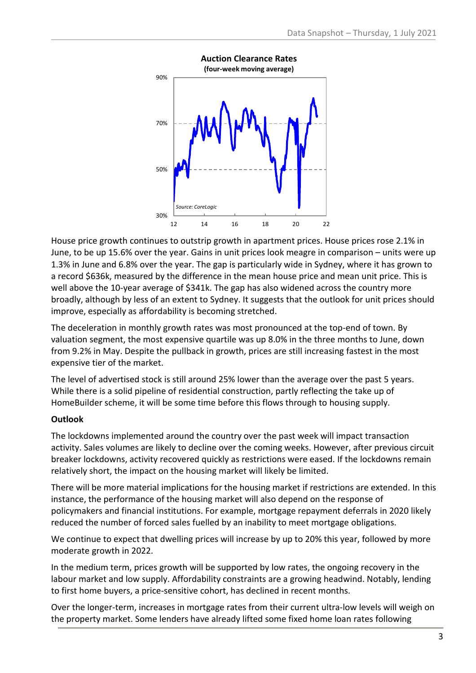

House price growth continues to outstrip growth in apartment prices. House prices rose 2.1% in June, to be up 15.6% over the year. Gains in unit prices look meagre in comparison – units were up 1.3% in June and 6.8% over the year. The gap is particularly wide in Sydney, where it has grown to a record \$636k, measured by the difference in the mean house price and mean unit price. This is well above the 10-year average of \$341k. The gap has also widened across the country more broadly, although by less of an extent to Sydney. It suggests that the outlook for unit prices should improve, especially as affordability is becoming stretched.

The deceleration in monthly growth rates was most pronounced at the top-end of town. By valuation segment, the most expensive quartile was up 8.0% in the three months to June, down from 9.2% in May. Despite the pullback in growth, prices are still increasing fastest in the most expensive tier of the market.

The level of advertised stock is still around 25% lower than the average over the past 5 years. While there is a solid pipeline of residential construction, partly reflecting the take up of HomeBuilder scheme, it will be some time before this flows through to housing supply.

#### **Outlook**

The lockdowns implemented around the country over the past week will impact transaction activity. Sales volumes are likely to decline over the coming weeks. However, after previous circuit breaker lockdowns, activity recovered quickly as restrictions were eased. If the lockdowns remain relatively short, the impact on the housing market will likely be limited.

There will be more material implications for the housing market if restrictions are extended. In this instance, the performance of the housing market will also depend on the response of policymakers and financial institutions. For example, mortgage repayment deferrals in 2020 likely reduced the number of forced sales fuelled by an inability to meet mortgage obligations.

We continue to expect that dwelling prices will increase by up to 20% this year, followed by more moderate growth in 2022.

In the medium term, prices growth will be supported by low rates, the ongoing recovery in the labour market and low supply. Affordability constraints are a growing headwind. Notably, lending to first home buyers, a price-sensitive cohort, has declined in recent months.

Over the longer-term, increases in mortgage rates from their current ultra-low levels will weigh on the property market. Some lenders have already lifted some fixed home loan rates following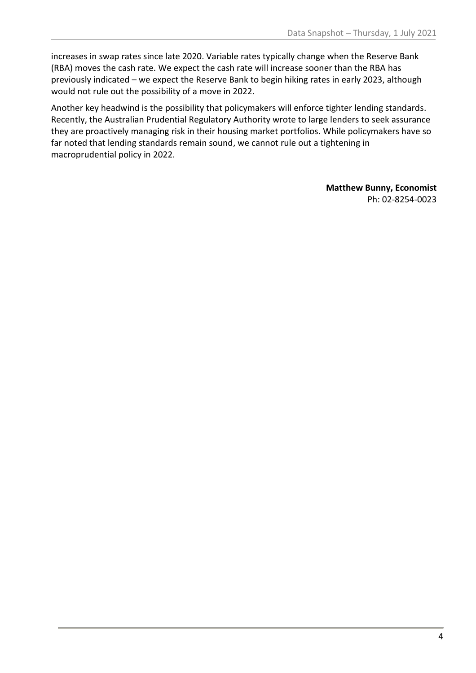increases in swap rates since late 2020. Variable rates typically change when the Reserve Bank (RBA) moves the cash rate. We expect the cash rate will increase sooner than the RBA has previously indicated – we expect the Reserve Bank to begin hiking rates in early 2023, although would not rule out the possibility of a move in 2022.

Another key headwind is the possibility that policymakers will enforce tighter lending standards. Recently, the Australian Prudential Regulatory Authority wrote to large lenders to seek assurance they are proactively managing risk in their housing market portfolios. While policymakers have so far noted that lending standards remain sound, we cannot rule out a tightening in macroprudential policy in 2022.

> **Matthew Bunny, Economist** Ph: 02-8254-0023